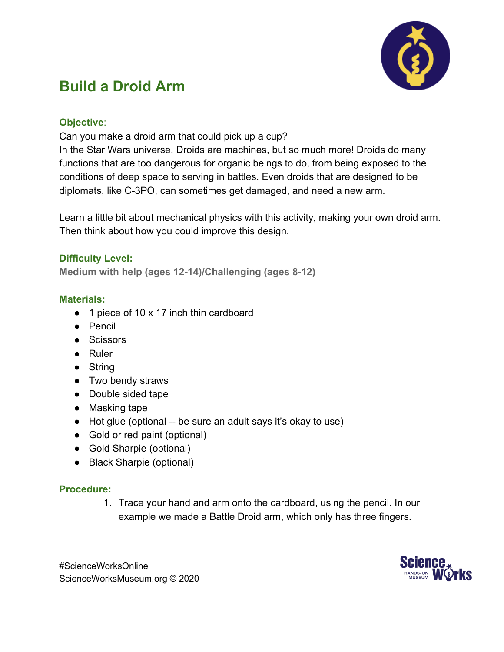

# **Build a Droid Arm**

## **Objective**:

Can you make a droid arm that could pick up a cup?

In the Star Wars universe, Droids are machines, but so much more! Droids do many functions that are too dangerous for organic beings to do, from being exposed to the conditions of deep space to serving in battles. Even droids that are designed to be diplomats, like C-3PO, can sometimes get damaged, and need a new arm.

Learn a little bit about mechanical physics with this activity, making your own droid arm. Then think about how you could improve this design.

## **Difficulty Level:**

**Medium with help (ages 12-14)/Challenging (ages 8-12)**

#### **Materials:**

- 1 piece of 10 x 17 inch thin cardboard
- Pencil
- Scissors
- Ruler
- String
- Two bendy straws
- Double sided tape
- Masking tape
- Hot glue (optional -- be sure an adult says it's okay to use)
- Gold or red paint (optional)
- Gold Sharpie (optional)
- Black Sharpie (optional)

#### **Procedure:**

1. Trace your hand and arm onto the cardboard, using the pencil. In our example we made a Battle Droid arm, which only has three fingers.

#ScienceWorksOnline ScienceWorksMuseum.org © 2020

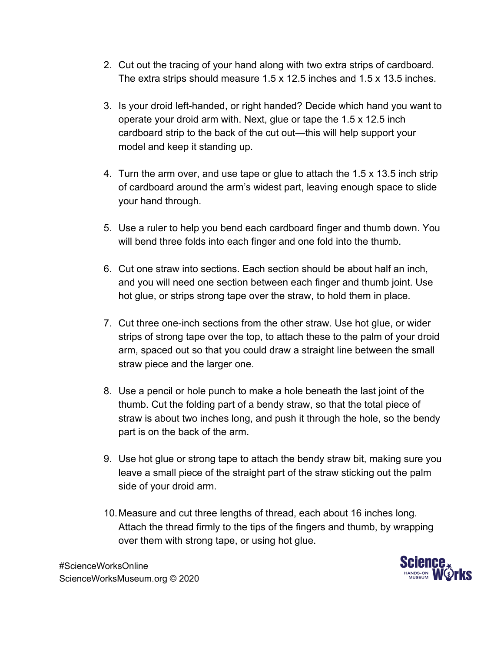- 2. Cut out the tracing of your hand along with two extra strips of cardboard. The extra strips should measure 1.5 x 12.5 inches and 1.5 x 13.5 inches.
- 3. Is your droid left-handed, or right handed? Decide which hand you want to operate your droid arm with. Next, glue or tape the 1.5 x 12.5 inch cardboard strip to the back of the cut out—this will help support your model and keep it standing up.
- 4. Turn the arm over, and use tape or glue to attach the 1.5 x 13.5 inch strip of cardboard around the arm's widest part, leaving enough space to slide your hand through.
- 5. Use a ruler to help you bend each cardboard finger and thumb down. You will bend three folds into each finger and one fold into the thumb.
- 6. Cut one straw into sections. Each section should be about half an inch, and you will need one section between each finger and thumb joint. Use hot glue, or strips strong tape over the straw, to hold them in place.
- 7. Cut three one-inch sections from the other straw. Use hot glue, or wider strips of strong tape over the top, to attach these to the palm of your droid arm, spaced out so that you could draw a straight line between the small straw piece and the larger one.
- 8. Use a pencil or hole punch to make a hole beneath the last joint of the thumb. Cut the folding part of a bendy straw, so that the total piece of straw is about two inches long, and push it through the hole, so the bendy part is on the back of the arm.
- 9. Use hot glue or strong tape to attach the bendy straw bit, making sure you leave a small piece of the straight part of the straw sticking out the palm side of your droid arm.
- 10.Measure and cut three lengths of thread, each about 16 inches long. Attach the thread firmly to the tips of the fingers and thumb, by wrapping over them with strong tape, or using hot glue.



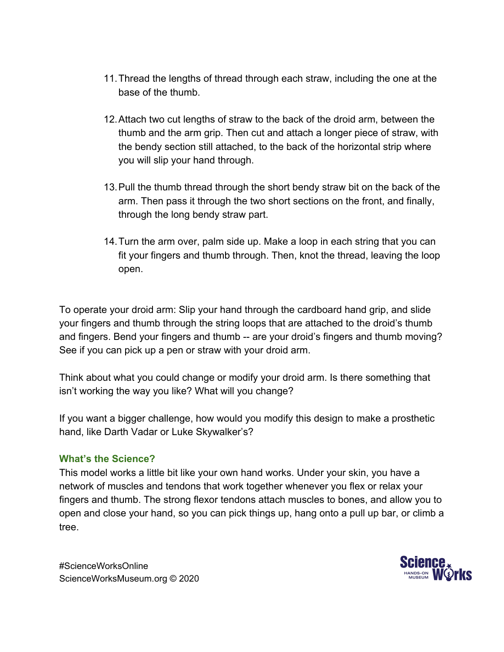- 11.Thread the lengths of thread through each straw, including the one at the base of the thumb.
- 12.Attach two cut lengths of straw to the back of the droid arm, between the thumb and the arm grip. Then cut and attach a longer piece of straw, with the bendy section still attached, to the back of the horizontal strip where you will slip your hand through.
- 13.Pull the thumb thread through the short bendy straw bit on the back of the arm. Then pass it through the two short sections on the front, and finally, through the long bendy straw part.
- 14.Turn the arm over, palm side up. Make a loop in each string that you can fit your fingers and thumb through. Then, knot the thread, leaving the loop open.

To operate your droid arm: Slip your hand through the cardboard hand grip, and slide your fingers and thumb through the string loops that are attached to the droid's thumb and fingers. Bend your fingers and thumb -- are your droid's fingers and thumb moving? See if you can pick up a pen or straw with your droid arm.

Think about what you could change or modify your droid arm. Is there something that isn't working the way you like? What will you change?

If you want a bigger challenge, how would you modify this design to make a prosthetic hand, like Darth Vadar or Luke Skywalker's?

## **What's the Science?**

This model works a little bit like your own hand works. Under your skin, you have a network of muscles and tendons that work together whenever you flex or relax your fingers and thumb. The strong flexor tendons attach muscles to bones, and allow you to open and close your hand, so you can pick things up, hang onto a pull up bar, or climb a tree.



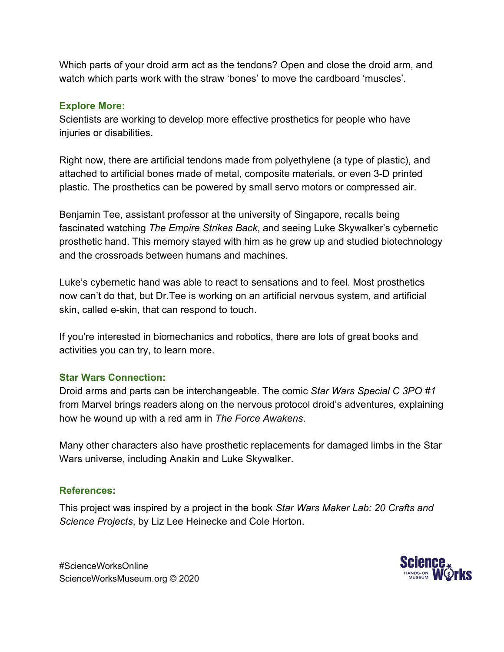Which parts of your droid arm act as the tendons? Open and close the droid arm, and watch which parts work with the straw 'bones' to move the cardboard 'muscles'.

#### **Explore More:**

Scientists are working to develop more effective prosthetics for people who have injuries or disabilities.

Right now, there are artificial tendons made from polyethylene (a type of plastic), and attached to artificial bones made of metal, composite materials, or even 3-D printed plastic. The prosthetics can be powered by small servo motors or compressed air.

Benjamin Tee, assistant professor at the university of Singapore, recalls being fascinated watching *The Empire Strikes Back*, and seeing Luke Skywalker's cybernetic prosthetic hand. This memory stayed with him as he grew up and studied biotechnology and the crossroads between humans and machines.

Luke's cybernetic hand was able to react to sensations and to feel. Most prosthetics now can't do that, but Dr.Tee is working on an artificial nervous system, and artificial skin, called e-skin, that can respond to touch.

If you're interested in biomechanics and robotics, there are lots of great books and activities you can try, to learn more.

## **Star Wars Connection:**

Droid arms and parts can be interchangeable. The comic *Star Wars Special C 3PO #1* from Marvel brings readers along on the nervous protocol droid's adventures, explaining how he wound up with a red arm in *The Force Awakens*.

Many other characters also have prosthetic replacements for damaged limbs in the Star Wars universe, including Anakin and Luke Skywalker.

## **References:**

This project was inspired by a project in the book *Star Wars Maker Lab: 20 Crafts and Science Projects*, by Liz Lee Heinecke and Cole Horton.

#ScienceWorksOnline ScienceWorksMuseum.org © 2020